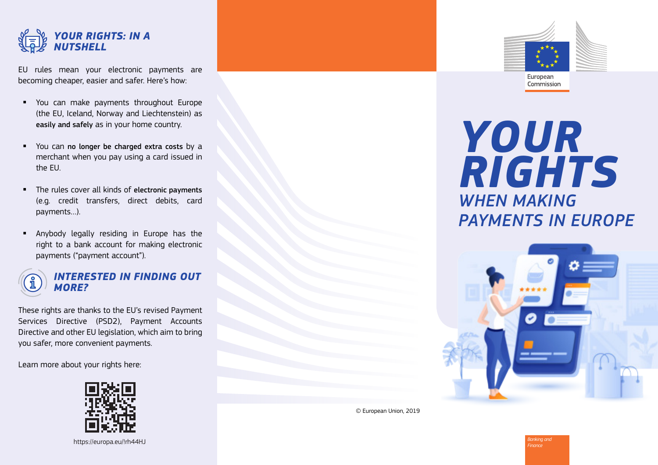

EU rules mean your electronic payments are becoming cheaper, easier and safer. Here's how:

- You can make payments throughout Europe (the EU, Iceland, Norway and Liechtenstein) as easily and safely as in your home country.
- You can no longer be charged extra costs by a merchant when you pay using a card issued in the EU.
- The rules cover all kinds of electronic payments (e.g. credit transfers, direct debits, card payments…).
- Anybody legally residing in Europe has the right to a bank account for making electronic payments ("payment account").



#### *INTERESTED IN FINDING OUT MORE?*

These rights are thanks to the EU's revised Payment Services Directive (PSD2), Payment Accounts Directive and other EU legislation, which aim to bring you safer, more convenient payments.

Learn more about your rights here:



https://europa.eu/!rh44HJ



# *YOUR RIGHTS WHEN MAKING PAYMENTS IN EUROPE*

Commission



© European Union, 2019